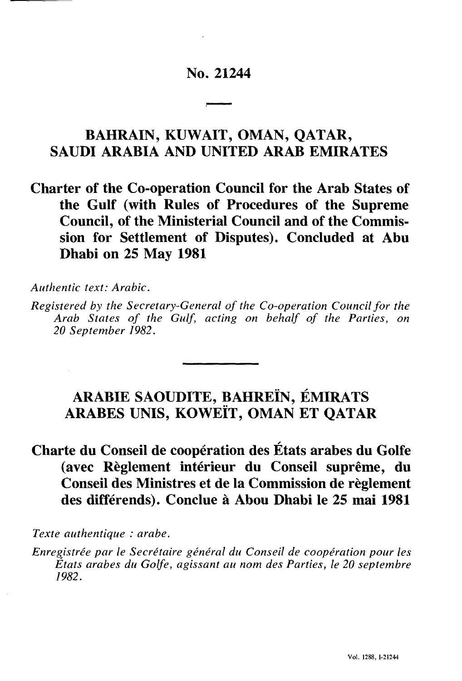# **No. 21244**

# **BAHRAIN, KUWAIT, OMAN, QATAR, SAUDI ARABIA AND UNITED ARAB EMIRATES**

# **Charter of the Co-operation Council for the Arab States of the Gulf (with Rules of Procedures of the Supreme Council, of the Ministerial Council and of the Commis sion for Settlement of Disputes). Concluded at Abu Dhabi on 25 May 1981**

*Authentic text: Arabic.*

*Registered by the Secretary-General of the Co-operation Council for the Arab States of the Gulf, acting on behalf of the Parties, on 20 September 1982.*

# **ARABIE SAOUDITE, BAHREÏN, ÉMIRATS ARABES UNIS, KOWEÏT, OMAN ET QATAR**

# **Charte du Conseil de coopération des États arabes du Golfe (avec Règlement intérieur du Conseil suprême, du Conseil des Ministres et de la Commission de règlement des différends). Conclue à Abou Dhabi le 25 mai 1981**

*Texte authentique : arabe.*

*Enregistrée par le Secrétaire général du Conseil de coopération pour les États arabes du Golfe, agissant au nom des Parties, le 20 septembre 1982.*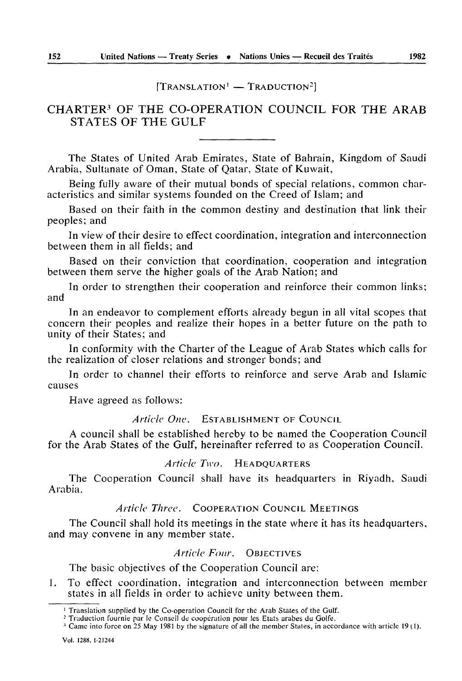$[TRANSLATION<sup>1</sup> - TRADUCTION<sup>2</sup>]$ 

# CHARTER3 OF THE CO-OPERATION COUNCIL FOR THE ARAB STATES OF THE GULF

The States of United Arab Emirates, State of Bahrain, Kingdom of Saudi Arabia, Sultanate of Oman, State of Qatar, State of Kuwait,

Being fully aware of their mutual bonds of special relations, common char acteristics and similar systems founded on the Creed of Islam; and

Based on their faith in the common destiny and destination that link their peoples; and

In view of their desire to effect coordination, integration and interconnection between them in all fields; and

Based on their conviction that coordination, cooperation and integration between them serve the higher goals of the Arab Nation; and

In order to strengthen their cooperation and reinforce their common links; and

In an endeavor to complement efforts already begun in all vital scopes that concern their peoples and realize their hopes in a better future on the path to unity of their States; and

In conformity with the Charter of the League of Arab States which calls for the realization of closer relations and stronger bonds; and

In order to channel their efforts to reinforce and serve Arab and Islamic causes

Have agreed as follows:

*Article One.* ESTABLISHMENT OF COUNCIL

A council shall be established hereby to be named the Cooperation Council for the Arab States of the Gulf, hereinafter referred to as Cooperation Council.

## *Article Two.* HEADQUARTERS

The Cooperation Council shall have its headquarters in Riyadh, Saudi Arabia.

## *Article Three.* COOPERATION COUNCIL MEETINGS

The Council shall hold its meetings in the state where it has its headquarters, and may convene in any member state.

#### *Article Four.* OBJECTIVES

The basic objectives of the Cooperation Council are:

1. To effect coordination, integration and interconnection between member states in all fields in order to achieve unity between them.

<sup>&</sup>lt;sup>1</sup> Translation supplied by the Co-operation Council for the Arab States of the Gulf.

<sup>&</sup>lt;sup>2</sup> Traduction fournie par le Conseil de coopération pour les Etats arabes du Golfe.

' Came into force on 25 May 1981 by the signature of all the member States, in accordance with article 19 (1).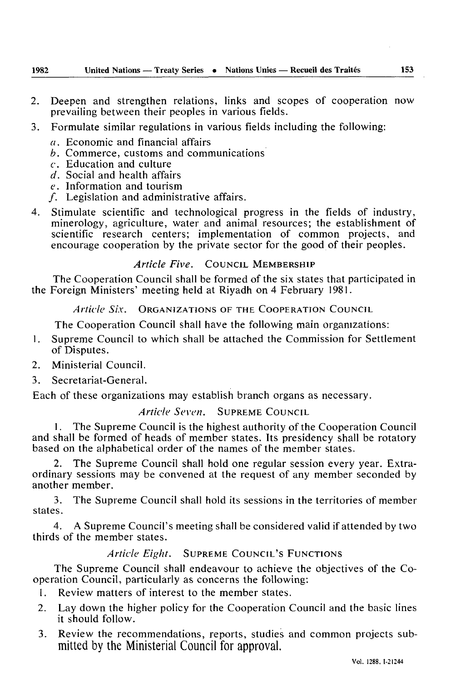- 2. Deepen and strengthen relations, links and scopes of cooperation now prevailing between their peoples in various fields.
- 3. Formulate similar regulations in various fields including the following:
	- *a.* Economic and financial affairs
	- *b.* Commerce, customs and communications
	- *c.* Education and culture
	- *d.* Social and health affairs
	- *e.* Information and tourism
	- $f$ . Legislation and administrative affairs.
- 4. Stimulate scientific and technological progress in the fields of industry, minerology, agriculture, water and animal resources; the establishment of scientific research centers; implementation of common projects, and encourage cooperation by the private sector for the good of their peoples.

# *Article Five.* COUNCIL MEMBERSHIP

The Cooperation Council shall be formed of the six states that participated in the Foreign Ministers' meeting held at Riyadh on 4 February 1981.

*Article Six.* ORGANIZATIONS OF THE COOPERATION COUNCIL

The Cooperation Council shall have the following main organizations:

- 1. Supreme Council to which shall be attached the Commission for Settlement of Disputes.
- 2. Ministerial Council.
- 3. Secretariat-General.

Each of these organizations may establish branch organs as necessary.

# *Article Seven.* SUPREME COUNCIL

1. The Supreme Council is the highest authority of the Cooperation Council and shall be formed of heads of member states. Its presidency shall be rotatory based on the alphabetical order of the names of the member states.

2. The Supreme Council shall hold one regular session every year. Extra ordinary sessions may be convened at the request of any member seconded by another member.

3. The Supreme Council shall hold its sessions in the territories of member states.

4. A Supreme Council's meeting shall be considered valid if attended by two thirds of the member states.

# *Article Eight.* SUPREME COUNCIL'S FUNCTIONS

The Supreme Council shall endeavour to achieve the objectives of the Co operation Council, particularly as concerns the following:

- 1. Review matters of interest to the member states.
- 2. Lay down the higher policy for the Cooperation Council and the basic lines it should follow.
- 3. Review the recommendations, reports, studies and common projects sub mitted by the Ministerial Council for approval.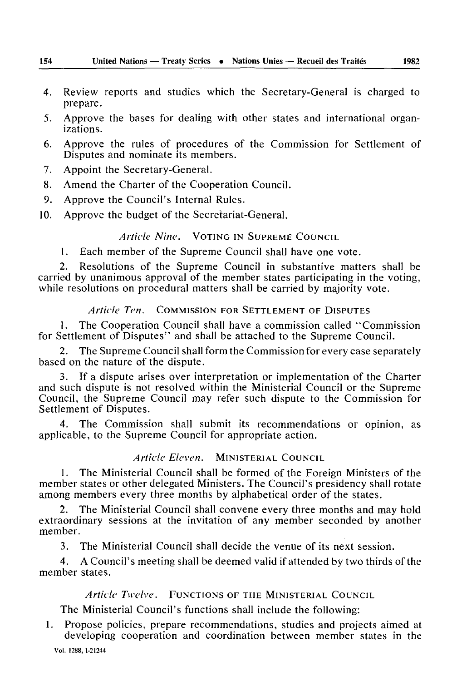- 4. Review reports and studies which the Secretary-General is charged to prepare.
- 5. Approve the bases for dealing with other states and international organ izations.
- 6. Approve the rules of procedures of the Commission for Settlement of Disputes and nominate its members.
- 7. Appoint the Secretary-General.
- 8. Amend the Charter of the Cooperation Council.
- 9. Approve the Council's Internal Rules.
- 10. Approve the budget of the Secretariat-General.

# *Article Nine.* VOTING IN SUPREME COUNCIL

1. Each member of the Supreme Council shall have one vote.

2. Resolutions of the Supreme Council in substantive matters shall be carried by unanimous approval of the member states participating in the voting, while resolutions on procedural matters shall be carried by majority vote.

*Article Ten.* COMMISSION FOR SETTLEMENT OF DISPUTES

1. The Cooperation Council shall have a commission called "Commission for Settlement of Disputes" and shall be attached to the Supreme Council.

2. The Supreme Council shall form the Commission for every case separately based on the nature of the dispute.

3. If a dispute arises over interpretation or implementation of the Charter and such dispute is not resolved within the Ministerial Council or the Supreme Council, the Supreme Council may refer such dispute to the Commission for Settlement of Disputes.

4. The Commission shall submit its recommendations or opinion, as applicable, to the Supreme Council for appropriate action.

# *Article Eleven.* MINISTERIAL COUNCIL

1. The Ministerial Council shall be formed of the Foreign Ministers of the member states or other delegated Ministers. The Council's presidency shall rotate among members every three months by alphabetical order of the states.

2. The Ministerial Council shall convene every three months and may hold extraordinary sessions at the invitation of any member seconded by another member.

3. The Ministerial Council shall decide the venue of its next session.

4. A Council's meeting shall be deemed valid if attended by two thirds of the member states.

*Article Twelve.* FUNCTIONS OF THE MINISTERIAL COUNCIL

The Ministerial Council's functions shall include the following:

1. Propose policies, prepare recommendations, studies and projects aimed at developing cooperation and coordination between member states in the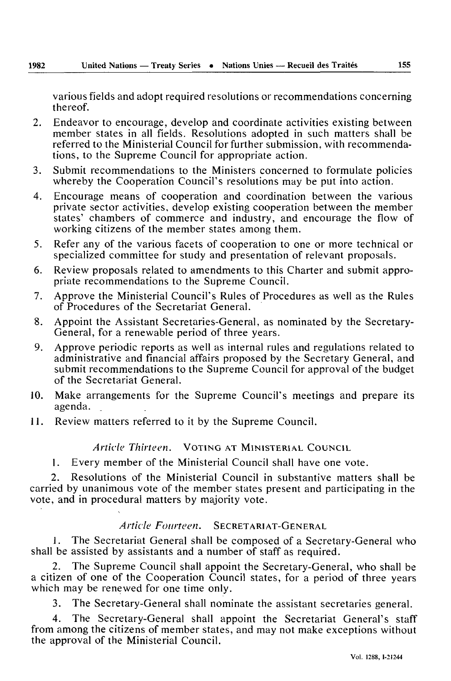various fields and adopt required resolutions or recommendations concerning thereof.

- 2. Endeavor to encourage, develop and coordinate activities existing between member states in all fields. Resolutions adopted in such matters shall be referred to the Ministerial Council for further submission, with recommenda tions, to the Supreme Council for appropriate action.
- 3. Submit recommendations to the Ministers concerned to formulate policies whereby the Cooperation Council's resolutions may be put into action.
- 4. Encourage means of cooperation and coordination between the various private sector activities, develop existing cooperation between the member states' chambers of commerce and industry, and encourage the flow of working citizens of the member states among them.
- *5.* Refer any of the various facets of cooperation to one or more technical or specialized committee for study and presentation of relevant proposals.
- 6. Review proposals related to amendments to this Charter and submit appro priate recommendations to the Supreme Council.
- 7. Approve the Ministerial Council's Rules of Procedures as well as the Rules of Procedures of the Secretariat General.
- 8. Appoint the Assistant Secretaries-General, as nominated by the Secretary-General, for a renewable period of three years.
- 9. Approve periodic reports as well as internal rules and regulations related to administrative and financial affairs proposed by the Secretary General, and submit recommendations to the Supreme Council for approval of the budget of the Secretariat General.
- 10. Make arrangements for the Supreme Council's meetings and prepare its agenda.
- 11. Review matters referred to it by the Supreme Council.

*Article Thirteen.* VOTING AT MINISTERIAL COUNCIL

1. Every member of the Ministerial Council shall have one vote.

2. Resolutions of the Ministerial Council in substantive matters shall be carried by unanimous vote of the member states present and participating in the vote, and in procedural matters by majority vote.

## *Article Fourteen.* SECRETARIAT-GENERAL

The Secretariat General shall be composed of a Secretary-General who shall be assisted by assistants and a number of staff as required.

2. The Supreme Council shall appoint the Secretary-General, who shall be a citizen of one of the Cooperation Council states, for a period of three years which may be renewed for one time only.

3. The Secretary-General shall nominate the assistant secretaries general.

4. The Secretary-General shall appoint the Secretariat General's staff from among the citizens of member states, and may not make exceptions without the approval of the Ministerial Council.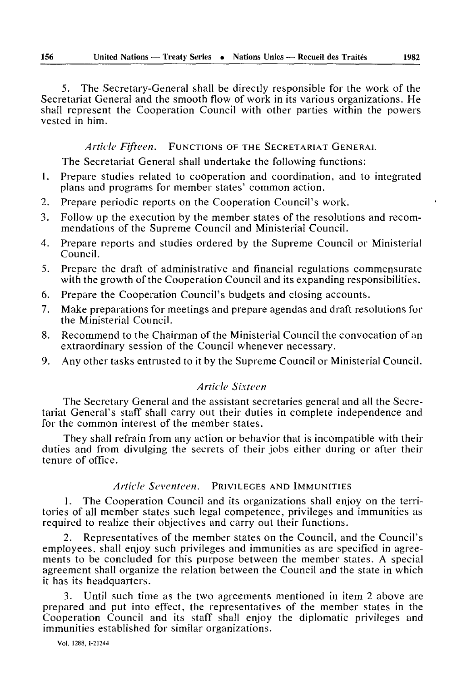5. The Secretary-General shall be directly responsible for the work of the Secretariat General and the smooth flow of work in its various organizations. He shall represent the Cooperation Council with other parties within the powers vested in him.

*Article Fifteen.* FUNCTIONS OF THE SECRETARIAT GENERAL

The Secretariat General shall undertake the following functions:

- 1. Prepare studies related to cooperation and coordination, and to integrated plans and programs for member states' common action.
- 2. Prepare periodic reports on the Cooperation Council's work.
- 3. Follow up the execution by the member states of the resolutions and recom mendations of the Supreme Council and Ministerial Council.
- 4. Prepare reports and studies ordered by the Supreme Council or Ministerial Council.
- 5. Prepare the draft of administrative and financial regulations commensurate with the growth of the Cooperation Council and its expanding responsibilities.
- 6. Prepare the Cooperation Council's budgets and closing accounts.
- 7. Make preparations for meetings and prepare agendas and draft resolutions for the Ministerial Council.
- 8. Recommend to the Chairman of the Ministerial Council the convocation of an extraordinary session of the Council whenever necessary.
- 9. Any other tasks entrusted to it by the Supreme Council or Ministerial Council.

## *Article Sixteen*

The Secretary General and the assistant secretaries general and all the Secre tariat General's staff shall carry out their duties in complete independence and for the common interest of the member states.

They shall refrain from any action or behavior that is incompatible with their duties and from divulging the secrets of their jobs either during or after their tenure of office.

# *Article Seventeen.* PRIVILEGES AND IMMUNITIES

1. The Cooperation Council and its organizations shall enjoy on the terri tories of all member states such legal competence, privileges and immunities as required to realize their objectives and carry out their functions.

2. Representatives of the member states on the Council, and the Council's employees, shall enjoy such privileges and immunities as are specified in agree ments to be concluded for this purpose between the member states. A special agreement shall organize the relation between the Council and the state in which it has its headquarters.

Until such time as the two agreements mentioned in item 2 above are prepared and put into effect, the representatives of the member states in the Cooperation Council and its staff shall enjoy the diplomatic privileges and immunities established for similar organizations.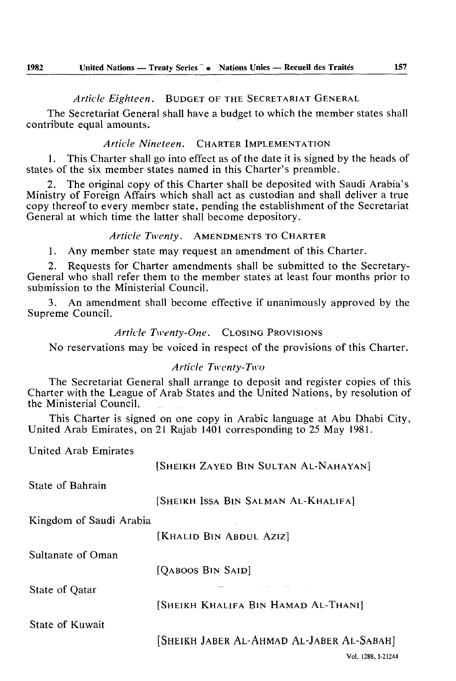*Article Eighteen.* BUDGET OF THE SECRETARIAT GENERAL

The Secretariat General shall have a budget to which the member states shall contribute equal amounts.

*Article Nineteen.* CHARTER IMPLEMENTATION

1. This Charter shall go into effect as of the date it is signed by the heads of states of the six member states named in this Charter's preamble.

The original copy of this Charter shall be deposited with Saudi Arabia's Ministry of Foreign Affairs which shall act as custodian and shall deliver a true copy thereof to every member state, pending the establishment of the Secretariat General at which time the latter shall become depository.

## *Article Twenty.* AMENDMENTS TO CHARTER

1. Any member state may request an amendment of this Charter.

2. Requests for Charter amendments shall be submitted to the Secretary-General who shall refer them to the member states at least four months prior to submission to the Ministerial Council.

3. An amendment shall become effective if unanimously approved by the Supreme Council.

## *Article Twenty-One.* CLOSING PROVISIONS

No reservations may be voiced in respect of the provisions of this Charter.

## *Article Twenty-Two*

The Secretariat General shall arrange to deposit and register copies of this Charter with the League of Arab States and the United Nations, by resolution of the Ministerial Council.

This Charter is signed on one copy in Arabic language at Abu Dhabi City, United Arab Emirates, on 21 Rajab 1401 corresponding to 25 May 1981.

United Arab Emirates

[SHEIKH ZAVED BIN SULTAN AL-NAHAYAN]

State of Bahrain

|  |  |  |  | [SHEIKH ISSA BIN SALMAN AL-KHALIFA] |
|--|--|--|--|-------------------------------------|
|--|--|--|--|-------------------------------------|

Kingdom of Saudi Arabia

[KHALID BIN ABDUL Aziz]

Sultanate of Oman

[QABOOS BIN SAID]

State of Qatar

[SHEIKH KHALIFA BIN HAMAD AL-THANI]

State of Kuwait

[SHEIKH JABER AL-AHMAD AL-JABER AL-SABAH]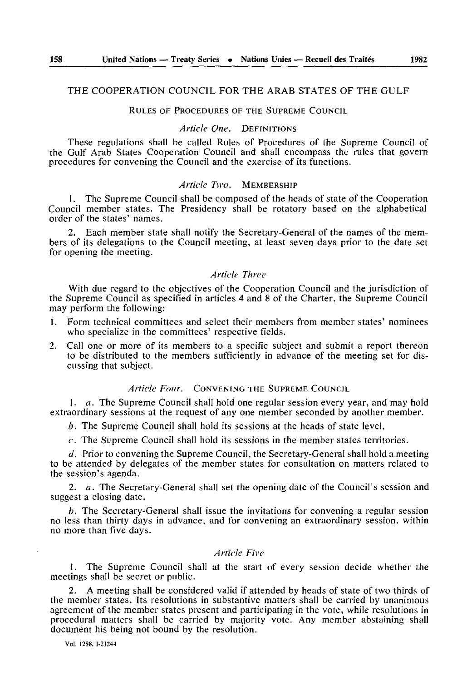#### THE COOPERATION COUNCIL FOR THE ARAB STATES OF THE GULF

#### RULES OF PROCEDURES OF THE SUPREME COUNCIL

#### *Article One.* DEFINITIONS

These regulations shall be called Rules of Procedures of the Supreme Council of the Gulf Arab States Cooperation Council and shall encompass the rules that govern procedures for convening the Council and the exercise of its functions.

#### *Article Two.* MEMBERSHIP

1. The Supreme Council shall be composed of the heads of state of the Cooperation Council member states. The Presidency shall be rotatory based on the alphabetical order of the states' names.

2. Each member state shall notify the Secretary-General of the names of the mem bers of its delegations to the Council meeting, at least seven days prior to the date set for opening the meeting.

#### *Article Three*

With due regard to the objectives of the Cooperation Council and the jurisdiction of the Supreme Council as specified in articles 4 and 8 of the Charter, the Supreme Council may perform the following:

- 1. Form technical committees and select their members from member states' nominees who specialize in the committees' respective fields.
- 2. Call one or more of its members to a specific subject and submit a report thereon to be distributed to the members sufficiently in advance of the meeting set for dis cussing that subject.

#### *Article Four.* CONVENING THE SUPREME COUNCIL

1. *a.* The Supreme Council shall hold one regular session every year, and may hold extraordinary sessions at the request of any one member seconded by another member.

*b.* The Supreme Council shall hold its sessions at the heads of state level.

c. The Supreme Council shall hold its sessions in the member states territories.

*d.* Prior to convening the Supreme Council, the Secretary-General shall hold a meeting to be attended by delegates of the member states for consultation on matters related to the session's agenda.

2. *a.* The Secretary-General shall set the opening date of the Council's session and suggest a closing date.

 $b$ . The Secretary-General shall issue the invitations for convening a regular session no less than thirty days in advance, and for convening an extraordinary session, within no more than five days.

#### *Article Five*

1. The Supreme Council shall at the start of every session decide whether the meetings shall be secret or public.

2. A meeting shall be considered valid if attended by heads of state of two thirds of the member states. Its resolutions in substantive matters shall be carried by unanimous agreement of the member states present and participating in the vote, while resolutions in procedural matters shall be carried by majority vote. Any member abstaining shall document his being not bound by the resolution.

Vol. 1288, 1-21244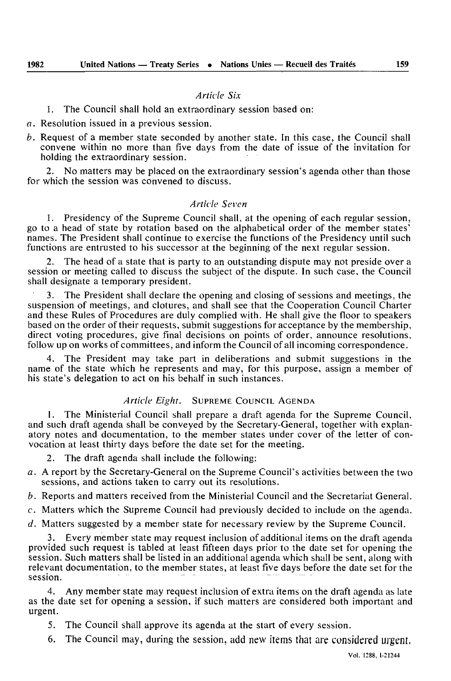## *Article Six*

1. The Council shall hold an extraordinary session based on:

- *a.* Resolution issued in a previous session.
- *b.* Request of a member state seconded by another state. In this case, the Council shall convene within no more than five days from the date of issue of the invitation for holding the extraordinary session.

2. No matters may be placed on the extraordinary session's agenda other than those for which the session was convened to discuss.

## *Article Seven*

1. Presidency of the Supreme Council shall, at the opening of each regular session, go to a head of state by rotation based on the alphabetical order of the member states' names. The President shall continue to exercise the functions of the Presidency until such functions are entrusted to his successor at the beginning of the next regular session.

The head of a state that is party to an outstanding dispute may not preside over a session or meeting called to discuss the subject of the dispute. In such case, the Council shall designate a temporary president.

3. The President shall declare the opening and closing of sessions and meetings, the suspension of meetings, and clotures, and shall see that the Cooperation Council Charter and these Rules of Procedures are duly complied with. He shall give the floor to speakers based on the order of their requests, submit suggestions for acceptance by the membership, direct voting procedures, give final decisions on points of order, announce resolutions, follow up on works of committees, and inform the Council of all incoming correspondence.

4. The President may take part in deliberations and submit suggestions in the name of the state which he represents and may, for this purpose, assign a member of his state's delegation to act on his behalf in such instances.

## *Article Eight.* SUPREME COUNCIL AGENDA

1. The Ministerial Council shall prepare a draft agenda for the Supreme Council, and such draft agenda shall be conveyed by the Secretary-General, together with explan atory notes and documentation, to the member states under cover of the letter of con vocation at least thirty days before the date set for the meeting.

2. The draft agenda shall include the following:

*a.* A report by the Secretary-General on the Supreme Council's activities between the two sessions, and actions taken to carry out its resolutions.

*b.* Reports and matters received from the Ministerial Council and the Secretariat General.

*c.* Matters which the Supreme Council had previously decided to include on the agenda.

*d.* Matters suggested by a member state for necessary review by the Supreme Council.

3. Every member state may request inclusion of additional items on the draft agenda provided such request is tabled at least fifteen days prior to the date set for opening the session. Such matters shall be listed in an additional agenda which shall be sent, along with relevant documentation, to the member states, at least five days before the date set for the session.

4. Any member state may request inclusion of extra items on the draft agenda as late as the date set for opening a session, if such matters are considered both important and urgent.

- *5.* The Council shall approve its agenda at the start of every session.
- 6. The Council may, during the session, add new items that are considered urgent.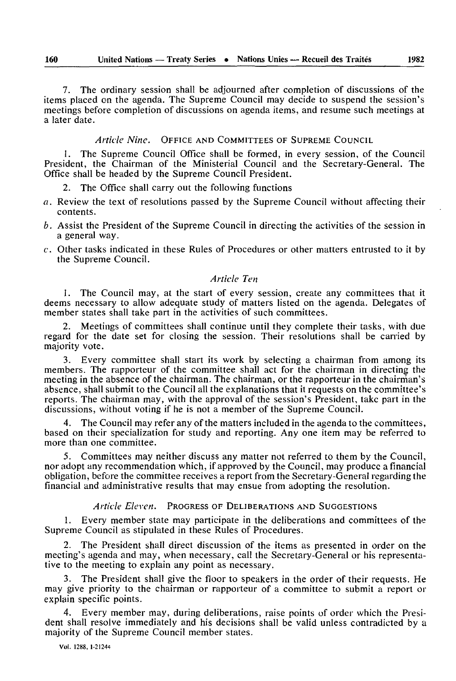7. The ordinary session shall be adjourned after completion of discussions of the items placed on the agenda. The Supreme Council may decide to suspend the session's meetings before completion of discussions on agenda items, and resume such meetings at a later date.

## *Article Nine.* OFFICE AND COMMITTEES OF SUPREME COUNCIL

1. The Supreme Council Office shall be formed, in every session, of the Council President, the Chairman of the Ministerial Council and the Secretary-General. The Office shall be headed by the Supreme Council President.

2. The Office shall carry out the following functions

- *a.* Review the text of resolutions passed by the Supreme Council without affecting their contents.
- *b.* Assist the President of the Supreme Council in directing the activities of the session in a general way.
- *c.* Other tasks indicated in these Rules of Procedures or other matters entrusted to it by the Supreme Council.

## *Article Ten*

1. The Council may, at the start of every session, create any committees that it deems necessary to allow adequate study of matters listed on the agenda. Delegates of member states shall take part in the activities of such committees.

2. Meetings of committees shall continue until they complete their tasks, with due regard for the date set for closing the session. Their resolutions shall be carried by majority vote.

3. Every committee shall start its work by selecting a chairman from among its members. The rapporteur of the committee shall act for the chairman in directing the meeting in the absence of the chairman. The chairman, or the rapporteur in the chairman's absence, shall submit to the Council all the explanations that it requests on the committee's reports. The chairman may, with the approval of the session's President, take part in the discussions, without voting if he is not a member of the Supreme Council.

The Council may refer any of the matters included in the agenda to the committees, based on their specialization for study and reporting. Any one item may be referred to more than one committee.

5. Committees may neither discuss any matter not referred to them by the Council, nor adopt any recommendation which, if approved by the Council, may produce a financial obligation, before the committee receives a report from the Secretary-General regarding the financial and administrative results that may ensue from adopting the resolution.

#### *Article Eleven.* PROGRESS OF DELIBERATIONS AND SUGGESTIONS

1. Every member state may participate in the deliberations and committees of the Supreme Council as stipulated in these Rules of Procedures.

2. The President shall direct discussion of the items as presented in order on the meeting's agenda and may, when necessary, call the Secretary-General or his representa tive to the meeting to explain any point as necessary.

The President shall give the floor to speakers in the order of their requests. He may give priority to the chairman or rapporteur of a committee to submit a report or explain specific points.

4. Every member may, during deliberations, raise points of order which the Presi dent shall resolve immediately and his decisions shall be valid unless contradicted by a majority of the Supreme Council member states.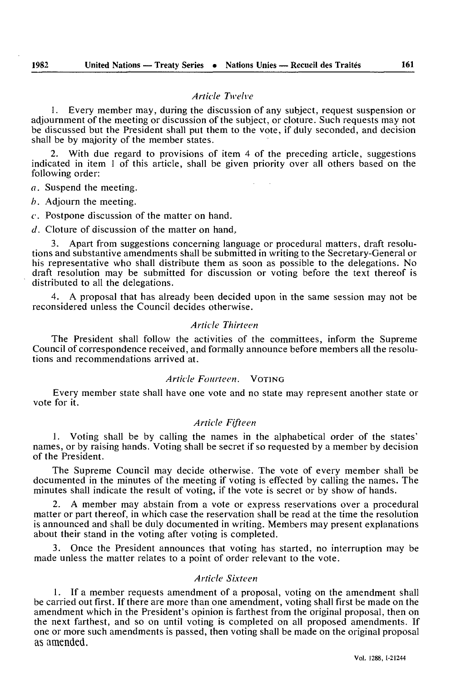## *Article Twelve*

1. Every member may, during the discussion of any subject, request suspension or adjournment of the meeting or discussion of the subject, or cloture. Such requests may not be discussed but the President shall put them to the vote, if duly seconded, and decision shall be by majority of the member states.

With due regard to provisions of item  $4$  of the preceding article, suggestions indicated in item 1 of this article, shall be given priority over all others based on the following order:

*a.* Suspend the meeting.

*b.* Adjourn the meeting.

*c.* Postpone discussion of the matter on hand.

*d.* Cloture of discussion of the matter on hand,

3. Apart from suggestions concerning language or procedural matters, draft resolu tions and substantive amendments shall be submitted in writing to the Secretary-General or his representative who shall distribute them as soon as possible to the delegations. No draft resolution may be submitted for discussion or voting before the text thereof is distributed to all the delegations.

4. A proposal that has already been decided upon in the same session may not be reconsidered unless the Council decides otherwise.

#### *Article Thirteen*

The President shall follow the activities of the committees, inform the Supreme Council of correspondence received, and formally announce before members all the resolu tions and recommendations arrived at.

### *Article Fourteen.* VOTING

Every member state shall have one vote and no state may represent another state or vote for it.

## *Article Fifteen*

1. Voting shall be by calling the names in the alphabetical order of the states' names, or by raising hands. Voting shall be secret if so requested by a member by decision of the President.

The Supreme Council may decide otherwise. The vote of every member shall be documented in the minutes of the meeting if voting is effected by calling the names. The minutes shall indicate the result of voting, if the vote is secret or by show of hands.

2. A member may abstain from a vote or express reservations over a procedural matter or part thereof, in which case the reservation shall be read at the time the resolution is announced and shall be duly documented in writing. Members may present explanations about their stand in the voting after voting is completed.

3. Once the President announces that voting has started, no interruption may be made unless the matter relates to a point of order relevant to the vote.

# *Article Sixteen*

1. If a member requests amendment of a proposal, voting on the amendment shall be carried out first. If there are more than one amendment, voting shall first be made on the amendment which in the President's opinion is farthest from the original proposal, then on the next farthest, and so on until voting is completed on all proposed amendments. If one or more such amendments is passed, then voting shall be made on the original proposal as amended.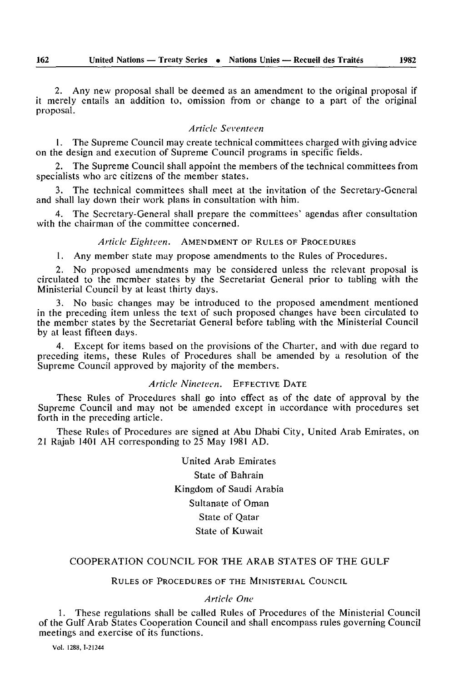2. Any new proposal shall be deemed as an amendment to the original proposal if it merely entails an addition to, omission from or change to a part of the original proposal.

#### *Article Seventeen*

1. The Supreme Council may create technical committees charged with giving advice on the design and execution of Supreme Council programs in specific fields.

2. The Supreme Council shall appoint the members of the technical committees from specialists who are citizens of the member states.

3. The technical committees shall meet at the invitation of the Secretary-General and shall lay down their work plans in consultation with him.

4. The Secretary-General shall prepare the committees' agendas after consultation with the chairman of the committee concerned.

*Article Eighteen.* AMENDMENT OF RULES OF PROCEDURES

1. Any member state may propose amendments to the Rules of Procedures.

2. No proposed amendments may be considered unless the relevant proposal is circulated to the member states by the Secretariat General prior to tabling with the Ministerial Council by at least thirty days.

3. No basic changes may be introduced to the proposed amendment mentioned in the preceding item unless the text of such proposed changes have been circulated to the member states by the Secretariat General before tabling with the Ministerial Council by at least fifteen days.

4. Except for items based on the provisions of the Charter, and with due regard to preceding items, these Rules of Procedures shall be amended by a resolution of the Supreme Council approved by majority of the members.

## *Article Nineteen.* EFFECTIVE DATE

These Rules of Procedures shall go into effect as of the date of approval by the Supreme Council and may not be amended except in accordance with procedures set forth in the preceding article.

These Rules of Procedures are signed at Abu Dhabi City, United Arab Emirates, on 21 Rajab 1401 AH corresponding to 25 May 1981 AD.

> United Arab Emirates State of Bahrain Kingdom of Saudi Arabia Sultanate of Oman State of Qatar State of Kuwait

### COOPERATION COUNCIL FOR THE ARAB STATES OF THE GULF

#### RULES OF PROCEDURES OF THE MINISTERIAL COUNCIL

## *Article One*

1. These regulations shall be called Rules of Procedures of the Ministerial Council of the Gulf Arab States Cooperation Council and shall encompass rules governing Council meetings and exercise of its functions.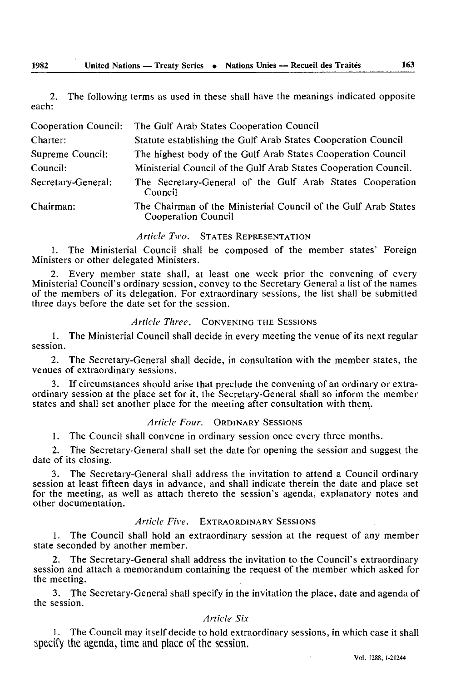2. The following terms as used in these shall have the meanings indicated opposite each:

| Cooperation Council: | The Gulf Arab States Cooperation Council                                               |  |  |  |  |
|----------------------|----------------------------------------------------------------------------------------|--|--|--|--|
| Charter:             | Statute establishing the Gulf Arab States Cooperation Council                          |  |  |  |  |
| Supreme Council:     | The highest body of the Gulf Arab States Cooperation Council                           |  |  |  |  |
| Council:             | Ministerial Council of the Gulf Arab States Cooperation Council.                       |  |  |  |  |
| Secretary-General:   | The Secretary-General of the Gulf Arab States Cooperation<br>Council                   |  |  |  |  |
| Chairman:            | The Chairman of the Ministerial Council of the Gulf Arab States<br>Cooperation Council |  |  |  |  |

*Article Two.* STATES REPRESENTATION

1. The Ministerial Council shall be composed of the member states' Foreign Ministers or other delegated Ministers.

2. Every member state shall, at least one week prior the convening of every Ministerial Council's ordinary session, convey to the Secretary General a list of the names of the members of its delegation. For extraordinary sessions, the list shall be submitted three days before the date set for the session.

## *Article Three.* CONVENING THE SESSIONS

1. The Ministerial Council shall decide in every meeting the venue of its next regular session.

2. The Secretary-General shall decide, in consultation with the member states, the venues of extraordinary sessions.

3. If circumstances should arise that preclude the convening of an ordinary or extra ordinary session at the place set for it, the Secretary-General shall so inform the member states and shall set another place for the meeting after consultation with them.

#### *Article Four.* ORDINARY SESSIONS

1. The Council shall convene in ordinary session once every three months.

2. The Secretary-General shall set the date for opening the session and suggest the date of its closing.

3. The Secretary-General shall address the invitation to attend a Council ordinary session at least fifteen days in advance, and shall indicate therein the date and place set for the meeting, as well as attach thereto the session's agenda, explanatory notes and other documentation.

## *Article Five.* EXTRAORDINARY SESSIONS

1. The Council shall hold an extraordinary session at the request of any member state seconded by another member.

2. The Secretary-General shall address the invitation to the Council's extraordinary session and attach a memorandum containing the request of the member which asked for the meeting.

3. The Secretary-General shall specify in the invitation the place, date and agenda of the session.

## *Article Six*

1. The Council may itself decide to hold extraordinary sessions, in which case it shall specify the agenda, time and place of the session.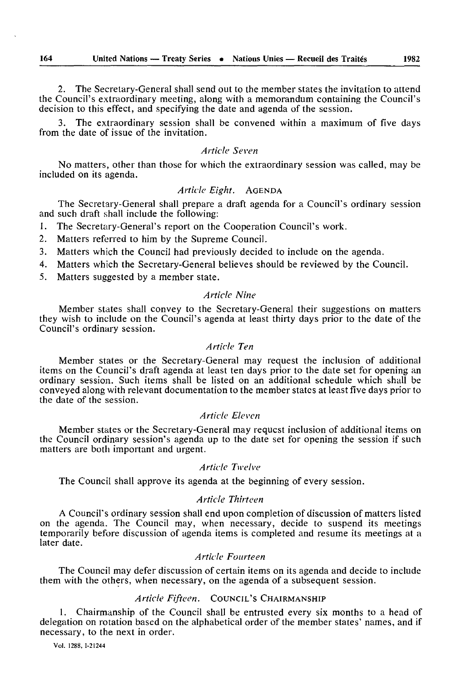2. The Secretary-General shall send out to the member states the invitation to attend the Council's extraordinary meeting, along with a memorandum containing the Council's decision to this effect, and specifying the date and agenda of the session.

The extraordinary session shall be convened within a maximum of five days from the date of issue of the invitation.

## *Article Seven*

No matters, other than those for which the extraordinary session was called, may be included on its agenda.

#### *Article Eight.* AGENDA

The Secretary-General shall prepare a draft agenda for a Council's ordinary session and such draft shall include the following:

- 1. The Secretary-General's report on the Cooperation Council's work.
- 2. Matters referred to him by the Supreme Council.
- 3. Matters which the Council had previously decided to include on the agenda.
- 4. Matters which the Secretary-General believes should be reviewed by the Council.
- 5. Matters suggested by a member state.

## *Article Nine*

Member states shall convey to the Secretary-General their suggestions on matters they wish to include on the Council's agenda at least thirty days prior to the date of the Council's ordinary session.

## *Article Ten*

Member states or the Secretary-General may request the inclusion of additional items on the Council's draft agenda at least ten days prior to the date set for opening an ordinary session. Such items shall be listed on an additional schedule which shall be conveyed along with relevant documentation to the member states at least five days prior to the date of the session.

#### *Article Eleven*

Member states or the Secretary-General may request inclusion of additional items on the Council ordinary session's agenda up to the date set for opening the session if such matters are both important and urgent.

#### *Article Twelve*

The Council shall approve its agenda at the beginning of every session.

#### *Article' Thirteen*

A Council's ordinary session shall end upon completion of discussion of matters listed on the agenda. The Council may, when necessary, decide to suspend its meetings temporarily before discussion of agenda items is completed and resume its meetings at a later date.

#### *Article Fourteen*

The Council may defer discussion of certain items on its agenda and decide to include them with the others, when necessary, on the agenda of a subsequent session.

# *Article Fifteen.* COUNCIL'S CHAIRMANSHIP

1. Chairmanship of the Council shall be entrusted every six months to a head of delegation on rotation based on the alphabetical order of the member states' names, and if necessary, to the next in order.

Vol. 1288, 1-21244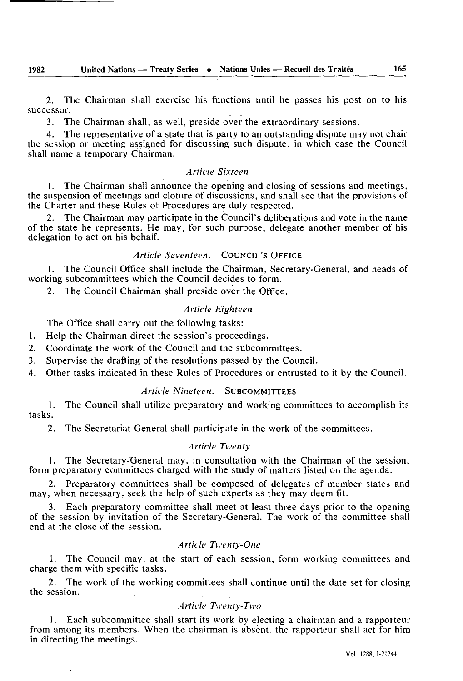2. The Chairman shall exercise his functions until he passes his post on to his successor.

3. The Chairman shall, as well, preside over the extraordinary sessions.

4. The representative of a state that is party to an outstanding dispute may not chair the session or meeting assigned for discussing such dispute, in which case the Council shall name a temporary Chairman.

## *Article Sixteen*

1. The Chairman shall announce the opening and closing of sessions and meetings, the suspension of meetings and cloture of discussions, and shall see that the provisions of the Charter and these Rules of Procedures are duly respected.

The Chairman may participate in the Council's deliberations and vote in the name of the state he represents. He may, for such purpose, delegate another member of his delegation to act on his behalf.

## *Article Seventeen.* COUNCIL'S OFFICE

1. The Council Office shall include the Chairman, Secretary-General, and heads of working subcommittees which the Council decides to form.

2. The Council Chairman shall preside over the Office.

## *Article Eighteen*

The Office shall carry out the following tasks:

- 1. Help the Chairman direct the session's proceedings.
- 2. Coordinate the work of the Council and the subcommittees.
- 3. Supervise the drafting of the resolutions passed by the Council.
- 4. Other tasks indicated in these Rules of Procedures or entrusted to it by the Council.

#### *Article Nineteen.* SUBCOMMITTEES

1. The Council shall utilize preparatory and working committees to accomplish its tasks.

2. The Secretariat General shall participate in the work of the committees.

## *Article Twenty*

1. The Secretary-General may, in consultation with the Chairman of the session, form preparatory committees charged with the study of matters listed on the agenda.

2. Preparatory committees shall be composed of delegates of member states and may, when necessary, seek the help of such experts as they may deem fit.

Each preparatory committee shall meet at least three days prior to the opening of the session by invitation of the Secretary-General. The work of the committee shall end at the close of the session.

#### *Article Twenty-One*

1. The Council may, at the start of each session, form working committees and charge them with specific tasks.

2. The work of the working committees shall continue until the date set for closing the session.

## *Article Twenty-Two*

1. Each subcommittee shall start its work by electing a chairman and a rapporteur from among its members. When the chairman is absent, the rapporteur shall act for him in directing the meetings.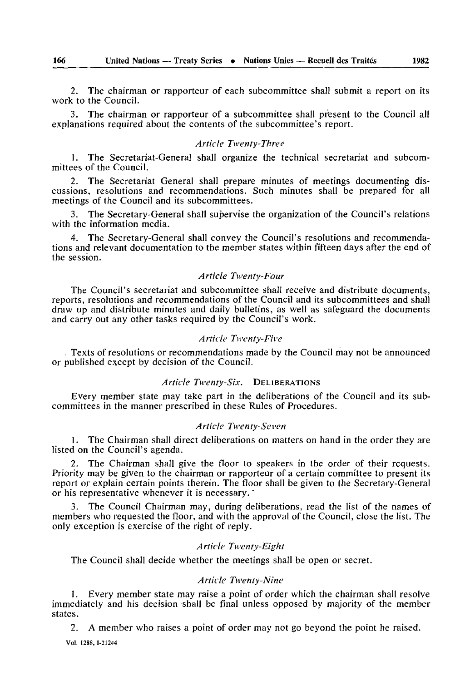2. The chairman or rapporteur of each subcommittee shall submit a report on its work to the Council.

The chairman or rapporteur of a subcommittee shall present to the Council all explanations required about the contents of the subcommittee's report.

#### *Article Twenty-Three*

1. The Secretariat-General shall organize the technical secretariat and subcom mittees of the Council.

2. The Secretariat General shall prepare minutes of meetings documenting dis cussions, resolutions and recommendations. Such minutes shall be prepared for all meetings of the Council and its subcommittees.

3. The Secretary-General shall supervise the organization of the Council's relations with the information media.

4. The Secretary-General shall convey the Council's resolutions and recommenda tions and relevant documentation to the member states within fifteen days after the end of the session.

#### *Article Twenty-Four*

The Council's secretariat and subcommittee shall receive and distribute documents, reports, resolutions and recommendations of the Council and its subcommittees and shall draw up and distribute minutes and daily bulletins, as well as safeguard the documents and carry out any other tasks required by the Council's work.

#### *Article Twenty-Five*

*,* Texts of resolutions or recommendations made by the Council may not be announced or published except by decision of the Council.

#### *Article Twenty-Six.* DELIBERATIONS

Every member state may take part in the deliberations of the Council and its sub committees in the manner prescribed in these Rules of Procedures.

#### *Article Twenty-Seven*

1. The Chairman shall direct deliberations on matters on hand in the order they are listed on the Council's agenda.

2. The Chairman shall give the floor to speakers in the order of their requests. Priority may be given to the chairman or rapporteur of a certain committee to present its report or explain certain points therein. The floor shall be given to the Secretary-General or his representative whenever it is necessary. '

The Council Chairman may, during deliberations, read the list of the names of members who requested the floor, and with the approval of the Council, close the list. The only exception is exercise of the right of reply.

#### *Article Twenty-Eight*

The Council shall decide whether the meetings shall be open or secret.

## *Article Twenty-Nine*

1. Every member state may raise a point of order which the chairman shall resolve immediately and his decision shall be final unless opposed by majority of the member states.

2. A member who raises a point of order may not go beyond the point he raised.

Vol. 1288, 1-21244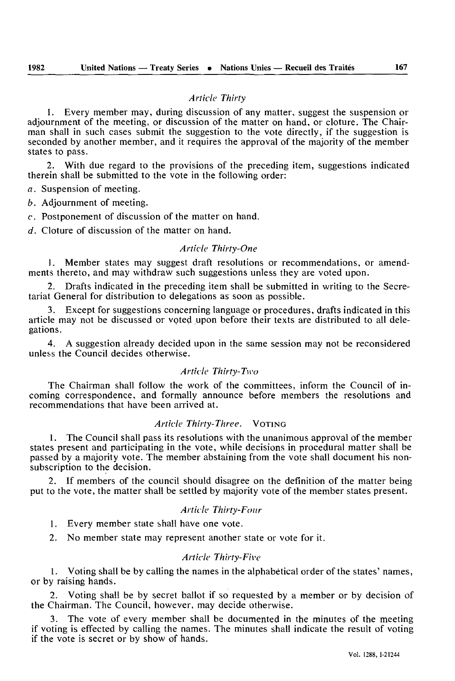## *Article Thirty*

1. Every member may, during discussion of any matter, suggest the suspension or adjournment of the meeting, or discussion of the matter on hand, or cloture. The Chairman shall in such cases submit the suggestion to the vote directly, if the suggestion is seconded by another member, and it requires the approval of the majority of the member states to pass.

2. With due regard to the provisions of the preceding item, suggestions indicated therein shall be submitted to the vote in the following order:

*a.* Suspension of meeting.

*b.* Adjournment of meeting.

c. Postponement of discussion of the matter on hand.

*d*. Cloture of discussion of the matter on hand.

#### *Article Thirty-One*

1. Member states may suggest draft resolutions or recommendations, or amend ments thereto, and may withdraw such suggestions unless they are voted upon.

2. Drafts indicated in the preceding item shall be submitted in writing to the Secre tariat General for distribution to delegations as soon as possible.

Except for suggestions concerning language or procedures, drafts indicated in this article may not be discussed or voted upon before their texts are distributed to all dele gations.

4. A suggestion already decided upon in the same session may not be reconsidered unless the Council decides otherwise.

#### *Article Thirty-Two*

The Chairman shall follow the work of the committees, inform the Council of in coming correspondence, and formally announce before members the resolutions and recommendations that have been arrived at.

## *Article Thirty-Three.* VOTING

1. The Council shall pass its resolutions with the unanimous approval of the member states present and participating in the vote, while decisions in procedural matter shall be passed by a majority vote. The member abstaining from the vote shall document his nonsubscription to the decision.

2. If members of the council should disagree on the definition of the matter being put to the vote, the matter shall be settled by majority vote of the member states present.

#### *Article Thirty-Four*

1. Every member state shall have one vote.

2. No member state may represent another state or vote for it.

#### *Article Thirty-Five*

1. Voting shall be by calling the names in the alphabetical order of the states' names, or by raising hands.

2. Voting shall be by secret ballot if so requested by a member or by decision of the Chairman. The Council, however, may decide otherwise.

3. The vote of every member shall be documented in the minutes of the meeting if voting is effected by calling the names. The minutes shall indicate the result of voting if the vote is secret or by show of hands.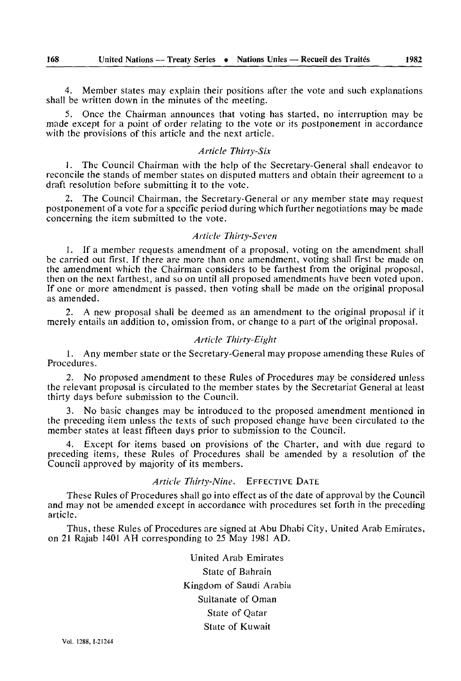4. Member states may explain their positions after the vote and such explanations shall be written down in the minutes of the meeting.

5. Once the Chairman announces that voting has started, no interruption may be made except for a point of order relating to the vote or its postponement in accordance with the provisions of this article and the next article.

#### *Article Thirty-Six*

1. The Council Chairman with the help of the Secretary-General shall endeavor to reconcile the stands of member states on disputed matters and obtain their agreement to a draft resolution before submitting it to the vote.

The Council Chairman, the Secretary-General or any member state may request postponement of a vote for a specific period during which further negotiations may be made concerning the item submitted to the vote.

## *Article Thirty-Seven*

1. If a member requests amendment of a proposal, voting on the amendment shall be carried out first. If there are more than one amendment, voting shall first be made on the amendment which the Chairman considers to be farthest from the original proposal, then on the next farthest, and so on until all proposed amendments have been voted upon. If one or more amendment is passed, then voting shall be made on the original proposal as amended.

2. A new proposal shall be deemed as an amendment to the original proposal if it merely entails an addition to, omission from, or change to a part of the original proposal.

#### *Article Thirty-Eight*

1. Any member state or the Secretary-General may propose amending these Rules of Procedures.

2. No proposed amendment to these Rules of Procedures may be considered unless the relevant proposal is circulated to the member states by the Secretariat General at least thirty days before submission to the Council.

3. No basic changes may be introduced to the proposed amendment mentioned in the preceding item unless the texts of such proposed change have been circulated to the member states at least fifteen days prior to submission to the Council.

4. Except for items based on provisions of the Charter, and with due regard to preceding items, these Rules of Procedures shall be amended by a resolution of the Council approved by majority of its members.

### *Article Thirty-Nine.* EFFECTIVE DATE

These Rules of Procedures shall go into effect as of the date of approval by the Council and may not be amended except in accordance with procedures set forth in the preceding article.

Thus, these Rules of Procedures are signed at Abu Dhabi City, United Arab Emirates, on 21 Rajab 1401 AH corresponding to 25 May 1981 AD.

> United Arab Emirates State of Bahrain Kingdom of Saudi Arabia Sultanate of Oman State of Qatar State of Kuwait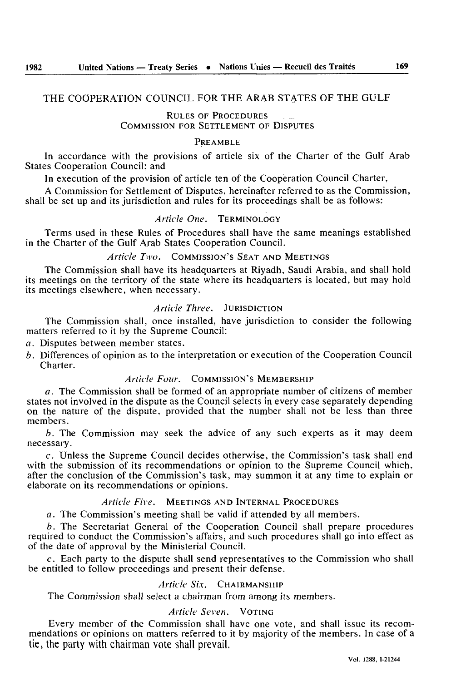## THE COOPERATION COUNCIL FOR THE ARAB STATES OF THE GULF

### RULES OF PROCEDURES COMMISSION FOR SETTLEMENT OF DISPUTES

#### PREAMBLE

In accordance with the provisions of article six of the Charter of the Gulf Arab States Cooperation Council; and

In execution of the provision of article ten of the Cooperation Council Charter,

A Commission for Settlement of Disputes, hereinafter referred to as the Commission, shall be set up and its jurisdiction and rules for its proceedings shall be as follows:

## *Article One.* TERMINOLOGY

Terms used in these Rules of Procedures shall have the same meanings established in the Charter of the Gulf Arab States Cooperation Council.

## *Article Two.* COMMISSION'S SEAT AND MEETINGS

The Commission shall have its headquarters at Riyadh, Saudi Arabia, and shall hold its meetings on the territory of the state where its headquarters is located, but may hold its meetings elsewhere, when necessary.

# *Article Three.* JURISDICTION

The Commission shall, once installed, have jurisdiction to consider the following matters referred to it by the Supreme Council:

*a.* Disputes between member states.

*b.* Differences of opinion as to the interpretation or execution of the Cooperation Council Charter.

## *Article Four.* COMMISSION'S MEMBERSHIP

*a.* The Commission shall be formed of an appropriate number of citizens of member states not involved in the dispute as the Council selects in every case separately depending on the nature of the dispute, provided that the number shall not be less than three members.

*b.* The Commission may seek the advice of any such experts as it may deem necessary.

*c.* Unless the Supreme Council decides otherwise, the Commission's task shall end with the submission of its recommendations or opinion to the Supreme Council which, after the conclusion of the Commission's task, may summon it at any time to explain or elaborate on its recommendations or opinions,

*Article Five.* MEETINGS AND INTERNAL PROCEDURES

*a.* The Commission's meeting shall be valid if attended by all members.

*b.* The Secretariat General of the Cooperation Council shall prepare procedures required to conduct the Commission's affairs, and such procedures shall go into effect as of the date of approval by the Ministerial Council.

*c.* Each party to the dispute shall send representatives to the Commission who shall be entitled to follow proceedings and present their defense.

#### *Article Si.\,* CHAIRMANSHIP

The Commission shall select a chairman from among its members.

## *Article Seven.* VOTING

Every member of the Commission shall have one vote, and shall issue its recom mendations or opinions on matters referred to it by majority of the members. In case of a tie, the party with chairman vote shall prevail.